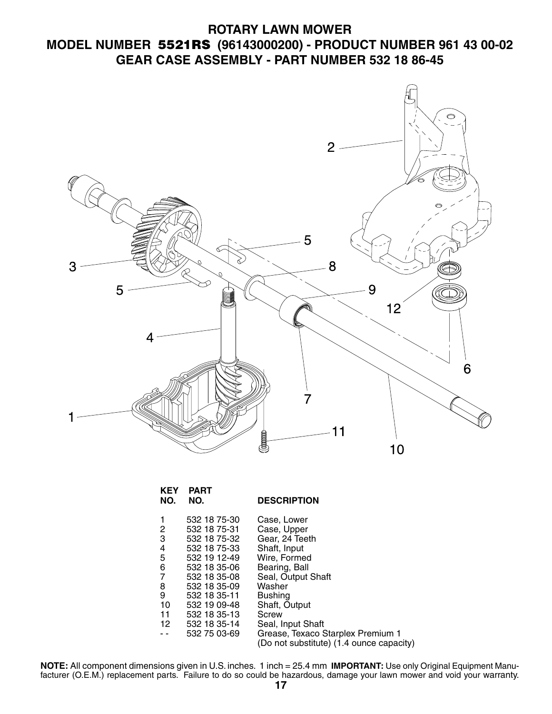## **ROTARY LAWN MOWER MODEL NUMBER 5521RS (96143000200) - PRODUCT NUMBER 961 43 00-02 GEAR CASE ASSEMBLY - PART NUMBER 532 18 86-45**



| <b>KEY</b><br>NO.                               | <b>PART</b><br>NO.                                                                                                                                           | <b>DESCRIPTION</b>                                                                                                                                               |
|-------------------------------------------------|--------------------------------------------------------------------------------------------------------------------------------------------------------------|------------------------------------------------------------------------------------------------------------------------------------------------------------------|
| 1<br>2<br>3<br>4<br>5<br>6<br>7<br>8<br>9<br>10 | 532 18 75-30<br>532 18 75-31<br>532 18 75-32<br>532 18 75-33<br>532 19 12-49<br>532 18 35-06<br>532 18 35-08<br>532 18 35-09<br>532 18 35-11<br>532 19 09-48 | Case, Lower<br>Case, Upper<br>Gear, 24 Teeth<br>Shaft, Input<br>Wire, Formed<br>Bearing, Ball<br>Seal, Output Shaft<br>Washer<br><b>Bushing</b><br>Shaft, Output |
| 11<br>12                                        | 532 18 35-13<br>532 18 35-14<br>532 75 03-69                                                                                                                 | Screw<br>Seal, Input Shaft<br>Grease, Texaco Starplex Premium 1<br>(Do not substitute) (1.4 ounce capacity)                                                      |

**NOTE:** All component dimensions given in U.S. inches. 1 inch = 25.4 mm **IMPORTANT:** Use only Original Equipment Manufacturer (O.E.M.) replacement parts. Failure to do so could be hazardous, damage your lawn mower and void your warranty.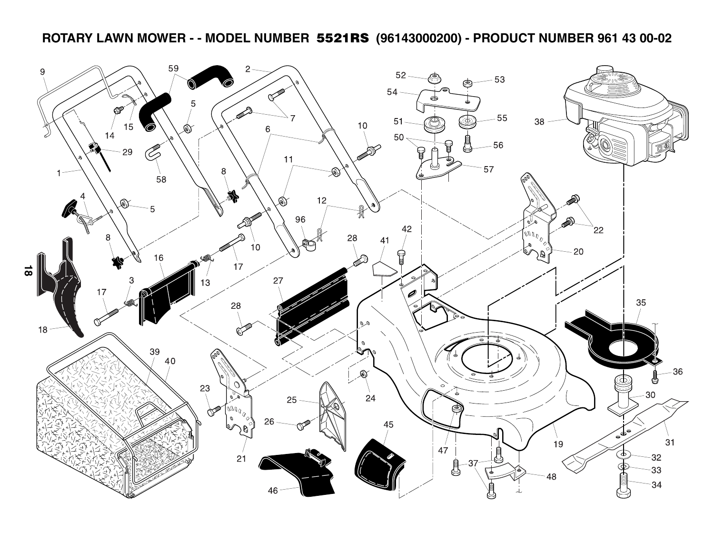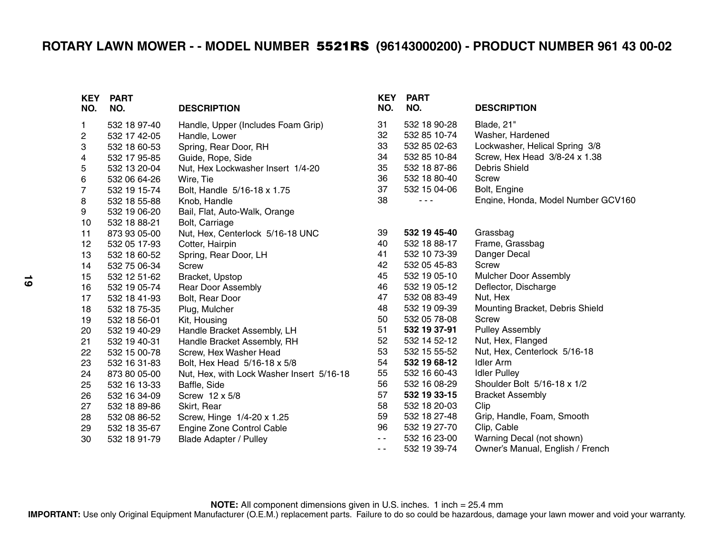| <b>KEY</b><br>NO. | <b>PART</b><br>NO. | <b>DESCRIPTION</b>                        | KEY<br>NO.    | <b>PART</b><br>NO. | <b>DESCRIPTION</b>                 |
|-------------------|--------------------|-------------------------------------------|---------------|--------------------|------------------------------------|
| 1.                | 532 18 97-40       | Handle, Upper (Includes Foam Grip)        | 31            | 532 18 90-28       | Blade, 21"                         |
| 2                 | 532 17 42-05       | Handle, Lower                             | 32            | 532 85 10-74       | Washer, Hardened                   |
| 3                 | 532 18 60-53       | Spring, Rear Door, RH                     | 33            | 532 85 02-63       | Lockwasher, Helical Spring 3/8     |
| 4                 | 532 17 95-85       | Guide, Rope, Side                         | 34            | 532 85 10-84       | Screw, Hex Head 3/8-24 x 1.38      |
| 5                 | 532 13 20-04       | Nut, Hex Lockwasher Insert 1/4-20         | 35            | 532 18 87-86       | <b>Debris Shield</b>               |
| 6                 | 532 06 64-26       | Wire, Tie                                 | 36            | 532 18 80-40       | Screw                              |
| $\overline{7}$    | 532 19 15-74       | Bolt, Handle 5/16-18 x 1.75               | 37            | 532 15 04-06       | Bolt, Engine                       |
| 8                 | 532 18 55-88       | Knob, Handle                              | 38            | $  -$              | Engine, Honda, Model Number GCV160 |
| 9                 | 532 19 06-20       | Bail, Flat, Auto-Walk, Orange             |               |                    |                                    |
| 10                | 532 18 88-21       | Bolt, Carriage                            |               |                    |                                    |
| 11                | 873 93 05-00       | Nut, Hex, Centerlock 5/16-18 UNC          | 39            | 532 19 45-40       | Grassbag                           |
| 12                | 532 05 17-93       | Cotter, Hairpin                           | 40            | 532 18 88-17       | Frame, Grassbag                    |
| 13                | 532 18 60-52       | Spring, Rear Door, LH                     | 41            | 532 10 73-39       | Danger Decal                       |
| 14                | 532 75 06-34       | <b>Screw</b>                              | 42            | 532 05 45-83       | <b>Screw</b>                       |
| 15                | 532 12 51-62       | Bracket, Upstop                           | 45            | 532 19 05-10       | <b>Mulcher Door Assembly</b>       |
| 16                | 532 19 05-74       | <b>Rear Door Assembly</b>                 | 46            | 532 19 05-12       | Deflector, Discharge               |
| 17                | 532 18 41-93       | Bolt, Rear Door                           | 47            | 532 08 83-49       | Nut, Hex                           |
| 18                | 532 18 75-35       | Plug, Mulcher                             | 48            | 532 19 09-39       | Mounting Bracket, Debris Shield    |
| 19                | 532 18 56-01       | Kit, Housing                              | 50            | 532 05 78-08       | Screw                              |
| 20                | 532 19 40-29       | Handle Bracket Assembly, LH               | 51            | 532 19 37-91       | <b>Pulley Assembly</b>             |
| 21                | 532 19 40-31       | Handle Bracket Assembly, RH               | 52            | 532 14 52-12       | Nut, Hex, Flanged                  |
| 22                | 532 15 00-78       | Screw, Hex Washer Head                    | 53            | 532 15 55-52       | Nut, Hex, Centerlock 5/16-18       |
| 23                | 532 16 31-83       | Bolt, Hex Head 5/16-18 x 5/8              | 54            | 532 19 68-12       | <b>Idler Arm</b>                   |
| 24                | 873 80 05-00       | Nut, Hex, with Lock Washer Insert 5/16-18 | 55            | 532 16 60-43       | <b>Idler Pulley</b>                |
| 25                | 532 16 13-33       | Baffle, Side                              | 56            | 532 16 08-29       | Shoulder Bolt 5/16-18 x 1/2        |
| 26                | 532 16 34-09       | Screw 12 x 5/8                            | 57            | 532 19 33-15       | <b>Bracket Assembly</b>            |
| 27                | 532 18 89-86       | Skirt, Rear                               | 58            | 532 18 20-03       | Clip                               |
| 28                | 532 08 86-52       | Screw, Hinge 1/4-20 x 1.25                | 59            | 532 18 27-48       | Grip, Handle, Foam, Smooth         |
| 29                | 532 18 35-67       | Engine Zone Control Cable                 | 96            | 532 19 27-70       | Clip, Cable                        |
| 30                | 532 18 91-79       | <b>Blade Adapter / Pulley</b>             | $\sim$ $\sim$ | 532 16 23-00       | Warning Decal (not shown)          |
|                   |                    |                                           | $ -$          | 532 19 39-74       | Owner's Manual, English / French   |

**NOTE:** All component dimensions given in U.S. inches. 1 inch = 25.4 mm **IMPORTANT:** Use only Original Equipment Manufacturer (O.E.M.) replacement parts. Failure to do so could be hazardous, damage your lawn mower and void your warranty.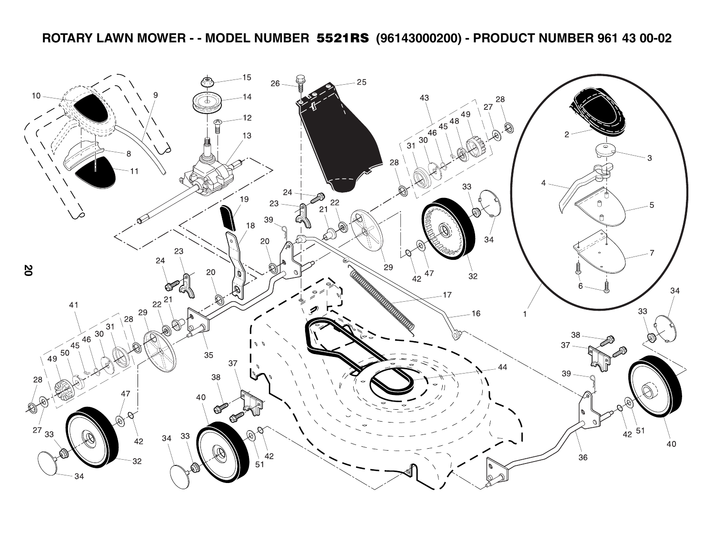